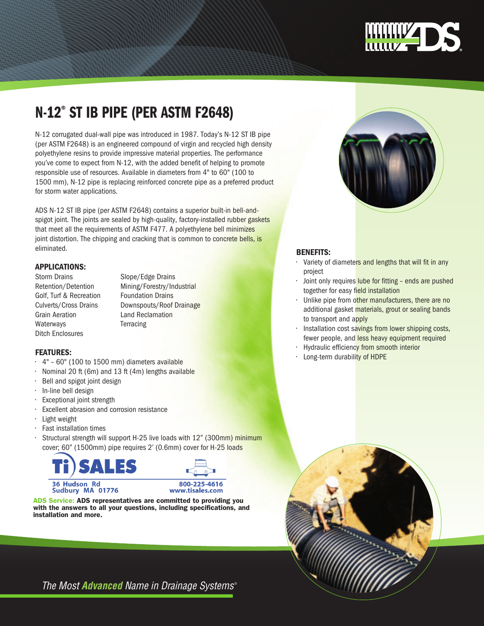

# n-12® ST IB PIPE (PER ASTM f2648)

N-12 corrugated dual-wall pipe was introduced in 1987. Today's N-12 ST IB pipe (per ASTM F2648) is an engineered compound of virgin and recycled high density polyethylene resins to provide impressive material properties. The performance you've come to expect from N-12, with the added benefit of helping to promote responsible use of resources. Available in diameters from 4" to 60" (100 to 1500 mm), N-12 pipe is replacing reinforced concrete pipe as a preferred product for storm water applications.

ADS N-12 ST IB pipe (per ASTM F2648) contains a superior built-in bell-andspigot joint. The joints are sealed by high-quality, factory-installed rubber gaskets that meet all the requirements of ASTM F477. A polyethylene bell minimizes joint distortion. The chipping and cracking that is common to concrete bells, is eliminated.

# Applications:

Golf, Turf & Recreation Foundation Drains Grain Aeration Land Reclamation Waterways **Terracing** Ditch Enclosures

Storm Drains Slope/Edge Drains Retention/Detention Mining/Forestry/Industrial Culverts/Cross Drains Downspouts/Roof Drainage

#### **FEATURES:**

- $\cdot$  4" 60" (100 to 1500 mm) diameters available
- Nominal 20 ft (6m) and 13 ft (4m) lengths available
- Bell and spigot joint design
- In-line bell design
- Exceptional joint strength
- Excellent abrasion and corrosion resistance
- Light weight
- Fast installation times
- Structural strength will support H-25 live loads with 12" (300mm) minimum cover; 60" (1500mm) pipe requires 2' (0.6mm) cover for H-25 loads



Sudbury MA 01776



ADS Service: ADS representatives are committed to providing you with the answers to all your questions, including specifications, and installation and more.



## Benefits:

- Variety of diameters and lengths that will fit in any project
- Joint only requires lube for fitting ends are pushed together for easy field installation
- Unlike pipe from other manufacturers, there are no additional gasket materials, grout or sealing bands to transport and apply
- Installation cost savings from lower shipping costs, fewer people, and less heavy equipment required
- Hydraulic efficiency from smooth interior
- Long-term durability of HDPE



*The Most Advanced Name in Drainage Systems* ®